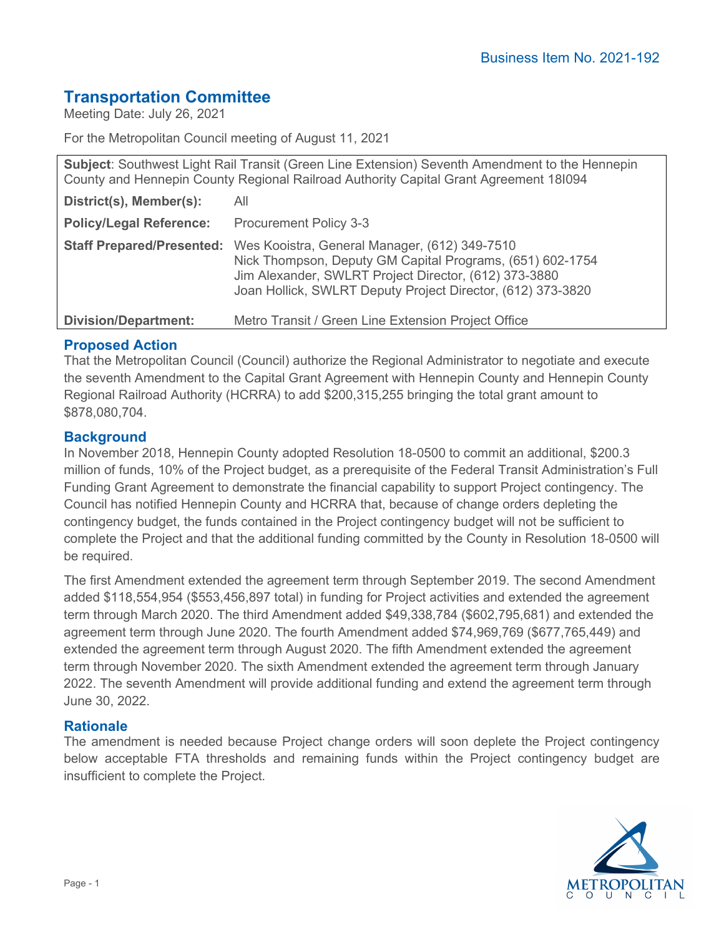# **Transportation Committee**

Meeting Date: July 26, 2021

For the Metropolitan Council meeting of August 11, 2021

| Subject: Southwest Light Rail Transit (Green Line Extension) Seventh Amendment to the Hennepin<br>County and Hennepin County Regional Railroad Authority Capital Grant Agreement 181094 |                                                                                                                                                                                                                                    |
|-----------------------------------------------------------------------------------------------------------------------------------------------------------------------------------------|------------------------------------------------------------------------------------------------------------------------------------------------------------------------------------------------------------------------------------|
| District(s), Member(s):                                                                                                                                                                 | All                                                                                                                                                                                                                                |
| <b>Policy/Legal Reference:</b>                                                                                                                                                          | <b>Procurement Policy 3-3</b>                                                                                                                                                                                                      |
| <b>Staff Prepared/Presented:</b>                                                                                                                                                        | Wes Kooistra, General Manager, (612) 349-7510<br>Nick Thompson, Deputy GM Capital Programs, (651) 602-1754<br>Jim Alexander, SWLRT Project Director, (612) 373-3880<br>Joan Hollick, SWLRT Deputy Project Director, (612) 373-3820 |
| <b>Division/Department:</b>                                                                                                                                                             | Metro Transit / Green Line Extension Project Office                                                                                                                                                                                |

## **Proposed Action**

That the Metropolitan Council (Council) authorize the Regional Administrator to negotiate and execute the seventh Amendment to the Capital Grant Agreement with Hennepin County and Hennepin County Regional Railroad Authority (HCRRA) to add \$200,315,255 bringing the total grant amount to \$878,080,704.

## **Background**

In November 2018, Hennepin County adopted Resolution 18-0500 to commit an additional, \$200.3 million of funds, 10% of the Project budget, as a prerequisite of the Federal Transit Administration's Full Funding Grant Agreement to demonstrate the financial capability to support Project contingency. The Council has notified Hennepin County and HCRRA that, because of change orders depleting the contingency budget, the funds contained in the Project contingency budget will not be sufficient to complete the Project and that the additional funding committed by the County in Resolution 18-0500 will be required.

The first Amendment extended the agreement term through September 2019. The second Amendment added \$118,554,954 (\$553,456,897 total) in funding for Project activities and extended the agreement term through March 2020. The third Amendment added \$49,338,784 (\$602,795,681) and extended the agreement term through June 2020. The fourth Amendment added \$74,969,769 (\$677,765,449) and extended the agreement term through August 2020. The fifth Amendment extended the agreement term through November 2020. The sixth Amendment extended the agreement term through January 2022. The seventh Amendment will provide additional funding and extend the agreement term through June 30, 2022.

#### **Rationale**

The amendment is needed because Project change orders will soon deplete the Project contingency below acceptable FTA thresholds and remaining funds within the Project contingency budget are insufficient to complete the Project.